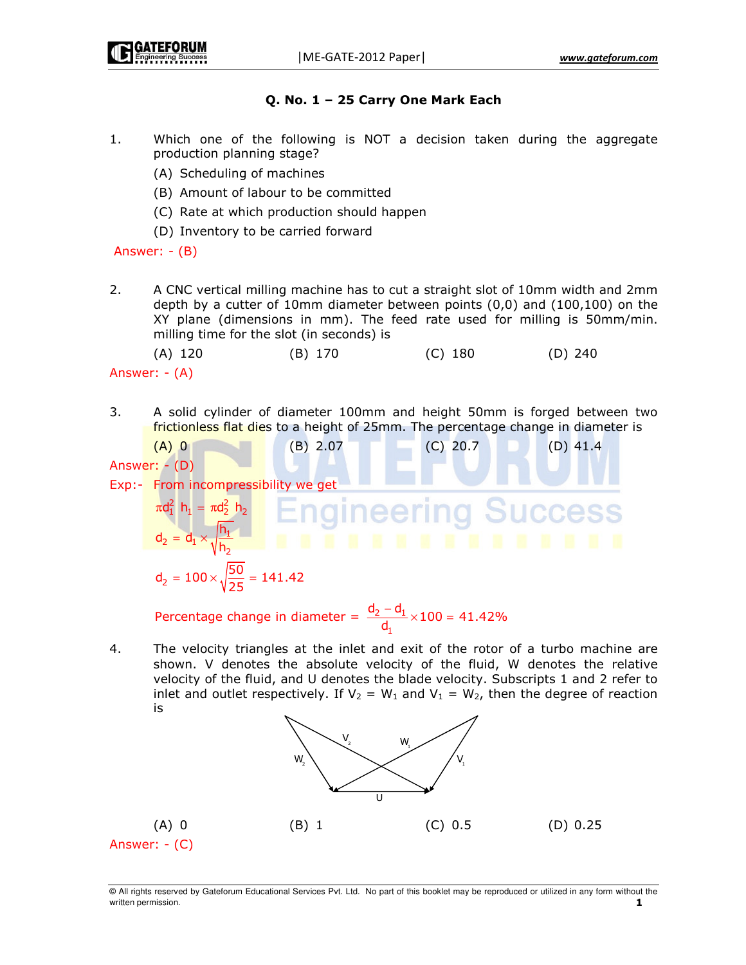# Q. No. 1 - 25 Carry One Mark Each

- $1.$ Which one of the following is NOT a decision taken during the aggregate production planning stage?
	- (A) Scheduling of machines
	- (B) Amount of labour to be committed
	- (C) Rate at which production should happen
	- (D) Inventory to be carried forward

Answer:  $-(B)$ 

 $2.$ A CNC vertical milling machine has to cut a straight slot of 10mm width and 2mm depth by a cutter of 10mm diameter between points  $(0,0)$  and  $(100,100)$  on the XY plane (dimensions in mm). The feed rate used for milling is 50mm/min. milling time for the slot (in seconds) is

 $(A)$  120  $(B)$  170  $(C)$  180  $(D)$  240

Answer:  $-(A)$ 

- 3. A solid cylinder of diameter 100mm and height 50mm is forged between two frictionless flat dies to a height of 25mm. The percentage change in diameter is
- $(B)$  2.07  $(A)$  0  $(C)$  20.7  $(D)$  41.4 Answer: - (D) Exp:- From incompressibility we get  $\pi d_1^2$  h<sub>1</sub> =  $\pi d_2^2$  h<sub>2</sub> gineerin  $d_2 = d_1 \times \sqrt{\frac{h_1}{h_1}}$ **. . . . . . . . . . . . . .**  $d_2 = 100 \times \sqrt{\frac{50}{25}} = 141.42$

Percentage change in diameter =  $\frac{d_2 - d_1}{d_1} \times 100 = 41.42\%$ 

4. The velocity triangles at the inlet and exit of the rotor of a turbo machine are shown. V denotes the absolute velocity of the fluid, W denotes the relative velocity of the fluid, and U denotes the blade velocity. Subscripts 1 and 2 refer to inlet and outlet respectively. If  $V_2 = W_1$  and  $V_1 = W_2$ , then the degree of reaction is



 $(A)$  0  $(C) 0.5$  $(D) 0.25$  $(B)$  1 Answer:  $-(C)$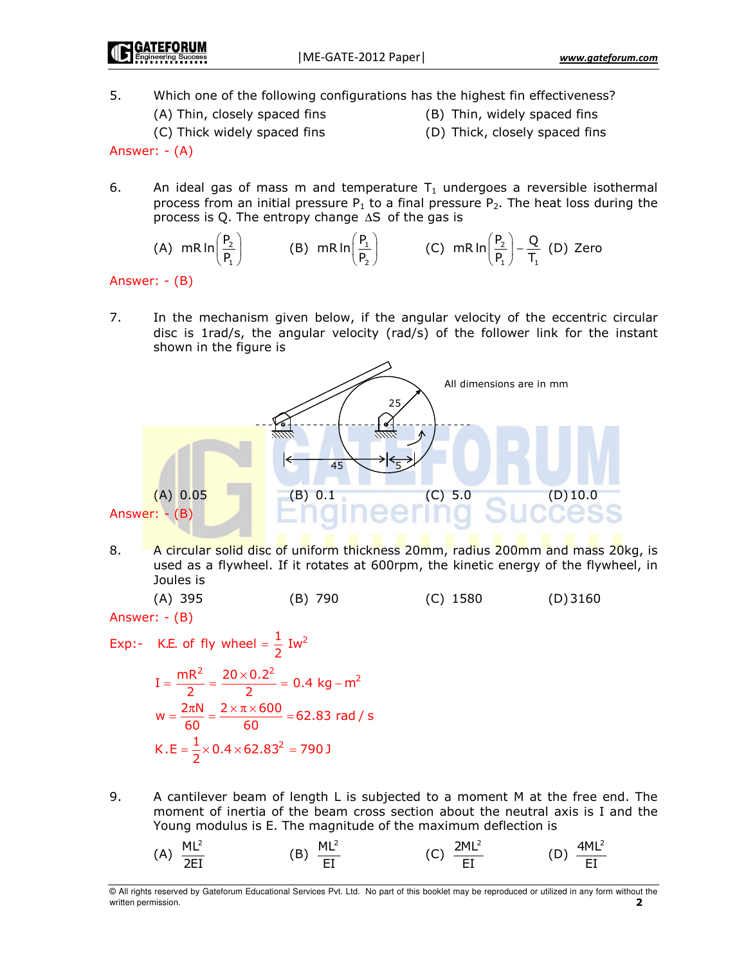GATEFORUN

5. Which one of the following configurations has the highest fin effectiveness?

- (A) Thin, closely spaced fins
- (B) Thin, widely spaced fins
- (C) Thick widely spaced fins
- (D) Thick, closely spaced fins

Answer:  $-(A)$ 

6. An ideal gas of mass m and temperature  $T_1$  undergoes a reversible isothermal process from an initial pressure  $P_1$  to a final pressure  $P_2$ . The heat loss during the process is Q. The entropy change  $\Delta S$  of the gas is

(A) 
$$
mR \ln \left(\frac{P_2}{P_1}\right)
$$
 (B)  $mR \ln \left(\frac{P_1}{P_2}\right)$  (C)  $mR \ln \left(\frac{P_2}{P_1}\right) - \frac{Q}{T_1}$  (D) Zero

## Answer:  $-(B)$

7. In the mechanism given below, if the angular velocity of the eccentric circular disc is 1rad/s, the angular velocity (rad/s) of the follower link for the instant shown in the figure is



8. A circular solid disc of uniform thickness 20mm, radius 200mm and mass 20kg, is used as a flywheel. If it rotates at 600rpm, the kinetic energy of the flywheel, in Joules is

Answer:  $-(B)$ 

Exp:- K.E. of fly wheel = 
$$
\frac{1}{2}
$$
 Iw<sup>2</sup>  
\n
$$
I = \frac{mR^2}{2} = \frac{20 \times 0.2^2}{2} = 0.4 \text{ kg} - m^2
$$
\n
$$
w = \frac{2\pi N}{60} = \frac{2 \times \pi \times 600}{60} = 62.83 \text{ rad/s}
$$
\n
$$
K.E = \frac{1}{2} \times 0.4 \times 62.83^2 = 790 \text{ J}
$$

9. A cantilever beam of length L is subjected to a moment M at the free end. The moment of inertia of the beam cross section about the neutral axis is I and the Young modulus is E. The magnitude of the maximum deflection is

(A) 
$$
\frac{ML^2}{2EI}
$$
 (B)  $\frac{ML^2}{EI}$  (C)  $\frac{2ML^2}{EI}$  (D)  $\frac{4ML^2}{EI}$ 

<sup>@</sup> All rights reserved by Gateforum Educational Services Pvt. Ltd. No part of this booklet may be reproduced or utilized in any form without the written permission.  $\overline{\phantom{a}}$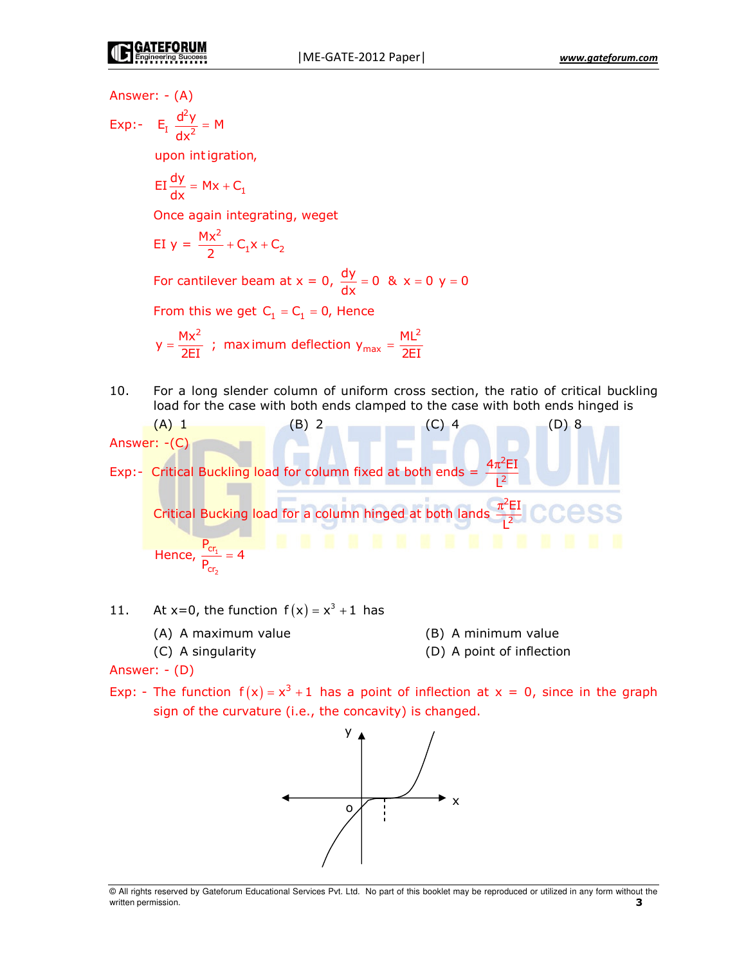Answer: - (A) Exp:-  $E_I \frac{d^2y}{dx^2} = M$ upon intigration,  $EI \frac{dy}{dx} = Mx + C_1$ Once again integrating, weget EI  $y = \frac{Mx^2}{2} + C_1x + C_2$ For cantilever beam at  $x = 0$ ,  $\frac{dy}{dx} = 0$  &  $x = 0$  y = 0 From this we get  $C_1 = C_1 = 0$ , Hence  $y = \frac{Mx^2}{2FI}$ ; maximum deflection  $y_{max} = \frac{ML^2}{2FI}$ For a long slender column of uniform cross section, the ratio of critical buckling 10. load for the case with both ends clamped to the case with both ends hinged is (A) 1 (B) 2 (C) 4<br>
Answer: -(C)<br>
Exp:- Critical Buckling load for column fixed at both ends =  $\frac{4\pi^2 EI}{1^2}$  $(D)$  8 Critical Bucking load for a column hinged at both lands  $\frac{\pi^2 EI}{1^2}$  CCCSS Hence,  $\frac{P_{cr_1}}{P} = 4$ 

At  $x=0$ , the function  $f(x) = x^3 + 1$  has 11.

- (A) A maximum value
- (C) A singularity
- (B) A minimum value
- (D) A point of inflection

Answer:  $-(D)$ 

Exp: - The function  $f(x) = x^3 + 1$  has a point of inflection at  $x = 0$ , since in the graph sign of the curvature (i.e., the concavity) is changed.

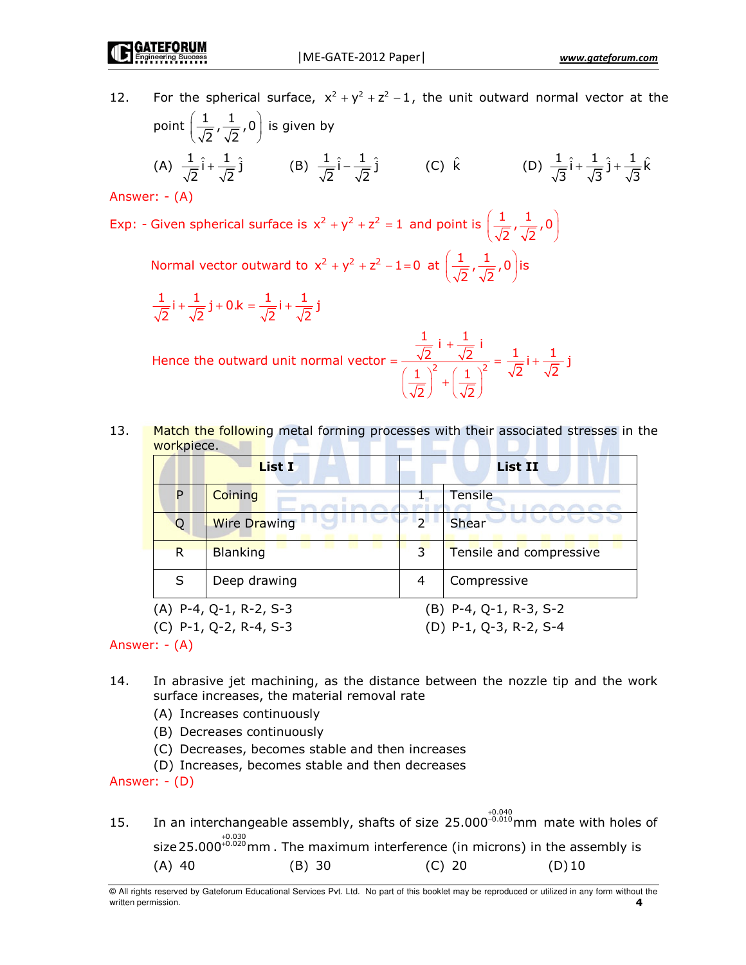For the spherical surface,  $x^2 + y^2 + z^2 - 1$ , the unit outward normal vector at the  $12.$ point  $\left(\frac{1}{\sqrt{2}}, \frac{1}{\sqrt{2}}, 0\right)$  is given by (A)  $\frac{1}{\sqrt{2}}\hat{i} + \frac{1}{\sqrt{2}}\hat{j}$  (B)  $\frac{1}{\sqrt{2}}\hat{i} - \frac{1}{\sqrt{2}}\hat{j}$  (C)  $\hat{k}$  (D)  $\frac{1}{\sqrt{3}}\hat{i} + \frac{1}{\sqrt{3}}\hat{j} + \frac{1}{\sqrt{3}}\hat{k}$ 

Answer:  $-(A)$ 

Exp: - Given spherical surface is  $x^2 + y^2 + z^2 = 1$  and point is  $\left(\frac{1}{\sqrt{2}}, \frac{1}{\sqrt{2}}, 0\right)$ 

Normal vector outward to  $x^2 + y^2 + z^2 - 1 = 0$  at  $\left(\frac{1}{\sqrt{2}}, \frac{1}{\sqrt{2}}, 0\right)$  is

$$
\frac{1}{\sqrt{2}}i + \frac{1}{\sqrt{2}}j + 0.k = \frac{1}{\sqrt{2}}i + \frac{1}{\sqrt{2}}j
$$

Hence the outward unit normal vector =  $\frac{\frac{1}{\sqrt{2}} i + \frac{1}{\sqrt{2}} i}{\left(\frac{1}{\sqrt{2}}\right)^2 + \left(\frac{1}{\sqrt{2}}\right)^2} = \frac{1}{\sqrt{2}} i + \frac{1}{\sqrt{2}} j$ 

13. Match the following metal forming processes with their associated stresses in the workpiece.

|                                           | List I              |               | <b>List II</b>           |  |  |
|-------------------------------------------|---------------------|---------------|--------------------------|--|--|
| P                                         | Coining             |               | Tensile                  |  |  |
| Q                                         | <b>Wire Drawing</b> | $\mathcal{D}$ | <b>Shear</b>             |  |  |
| R.                                        | <b>Blanking</b>     | 3             | Tensile and compressive  |  |  |
| S                                         | Deep drawing        | 4             | Compressive              |  |  |
| $(A)$ P-4, Q-1, R-2, S-3                  |                     |               | $(B)$ P-4, Q-1, R-3, S-2 |  |  |
| $(C)$ P-1, Q-2, R-4, S-3<br>$\sim$ $\sim$ |                     |               | (D) P-1, Q-3, R-2, S-4   |  |  |

Answer:  $-(A)$ 

- 14. In abrasive jet machining, as the distance between the nozzle tip and the work surface increases, the material removal rate
	- (A) Increases continuously
	- (B) Decreases continuously
	- (C) Decreases, becomes stable and then increases
	- (D) Increases, becomes stable and then decreases

Answer: - (D)

In an interchangeable assembly, shafts of size  $25.000^{-0.010}_{-0.010}$  mm mate with holes of 15. size  $25.000^{+0.030}_{-0.020}$  mm. The maximum interference (in microns) in the assembly is  $(C)$  20  $(A)$  40  $(B)$  30  $(D)10$ 

<sup>©</sup> All rights reserved by Gateforum Educational Services Pvt. Ltd. No part of this booklet may be reproduced or utilized in any form without the written permission. 4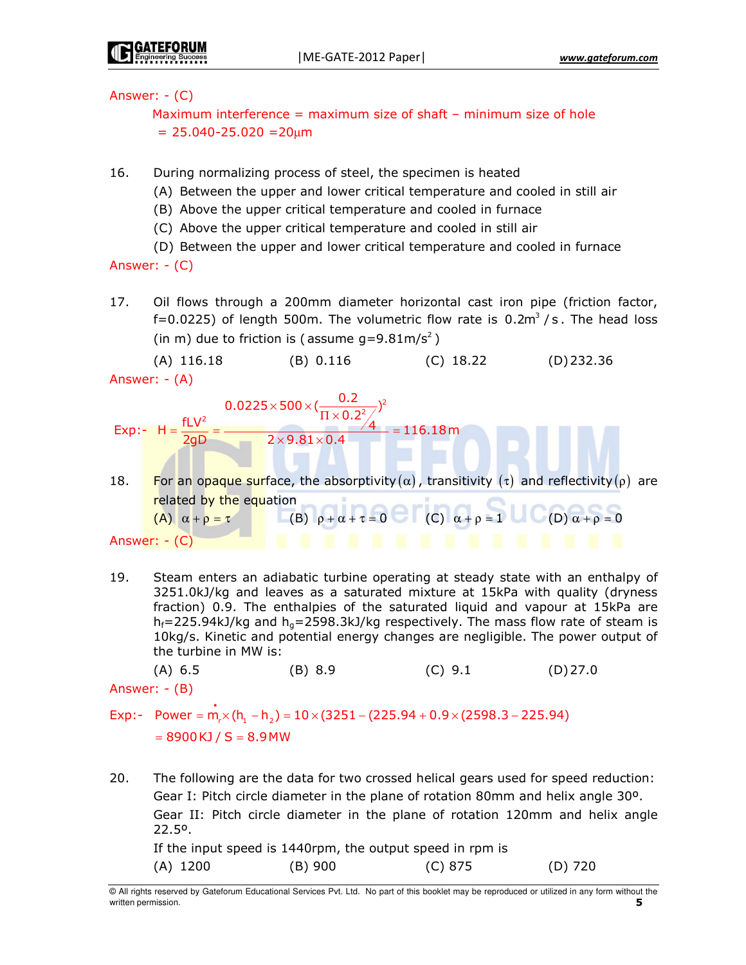Answer:  $-(C)$ 

Maximum interference = maximum size of shaft - minimum size of hole  $= 25.040 - 25.020 = 20 \mu m$ 

- 16. During normalizing process of steel, the specimen is heated
	- (A) Between the upper and lower critical temperature and cooled in still air
	- (B) Above the upper critical temperature and cooled in furnace
	- (C) Above the upper critical temperature and cooled in still air
	- (D) Between the upper and lower critical temperature and cooled in furnace

Answer:  $-(C)$ 

17. Oil flows through a 200mm diameter horizontal cast iron pipe (friction factor, f=0.0225) of length 500m. The volumetric flow rate is  $0.2m^3/s$ . The head loss (in m) due to friction is (assume  $q=9.81 \text{m/s}^2$ )

 $(A)$  116.18  $(B) 0.116$  $(C)$  18.22  $(D)$  232.36 Answer:  $-(A)$ 

$$
Exp: -H = \frac{fLV^{2}}{2gD} = \frac{0.0225 \times 500 \times (\frac{0.2}{\Pi \times 0.2^{2}/4})^{2}}{2 \times 9.81 \times 0.4} = 116.18 \text{ m}
$$

- For an opaque surface, the absorptivity ( $\alpha$ ), transitivity ( $\tau$ ) and reflectivity ( $\rho$ ) are 18. related by the equation (C)  $\alpha + \rho = 1$  (D)  $\alpha + \rho = 0$ (B)  $\rho + \alpha + \tau = 0$ (A)  $\alpha + \rho = \tau$ Answer:  $-(C)$
- 19. Steam enters an adiabatic turbine operating at steady state with an enthalpy of 3251.0kJ/kg and leaves as a saturated mixture at 15kPa with quality (dryness fraction) 0.9. The enthalpies of the saturated liquid and vapour at 15kPa are  $h_f$ =225.94kJ/kg and  $h_q$ =2598.3kJ/kg respectively. The mass flow rate of steam is 10kg/s. Kinetic and potential energy changes are negligible. The power output of the turbine in MW is:

 $(A) 6.5$  $(B) 8.9$  $(C) 9.1$  $(D)$  27.0

Answer:  $-(B)$ 

Exp:- Power = m, $\times$ (h, -h,) = 10 $\times$ (3251 – (225.94 + 0.9 $\times$ (2598.3 – 225.94)  $= 8900KJ/S = 8.9MW$ 

20. The following are the data for two crossed helical gears used for speed reduction: Gear I: Pitch circle diameter in the plane of rotation 80mm and helix angle 30°. Gear II: Pitch circle diameter in the plane of rotation 120mm and helix angle  $22.5^{\circ}$ . If the input speed is 1440rpm, the output speed in rpm is  $(A)$  1200  $(B)$  900  $(C) 875$  $(D)$  720

<sup>@</sup> All rights reserved by Gateforum Educational Services Pvt. Ltd. No part of this booklet may be reproduced or utilized in any form without the written permission. 5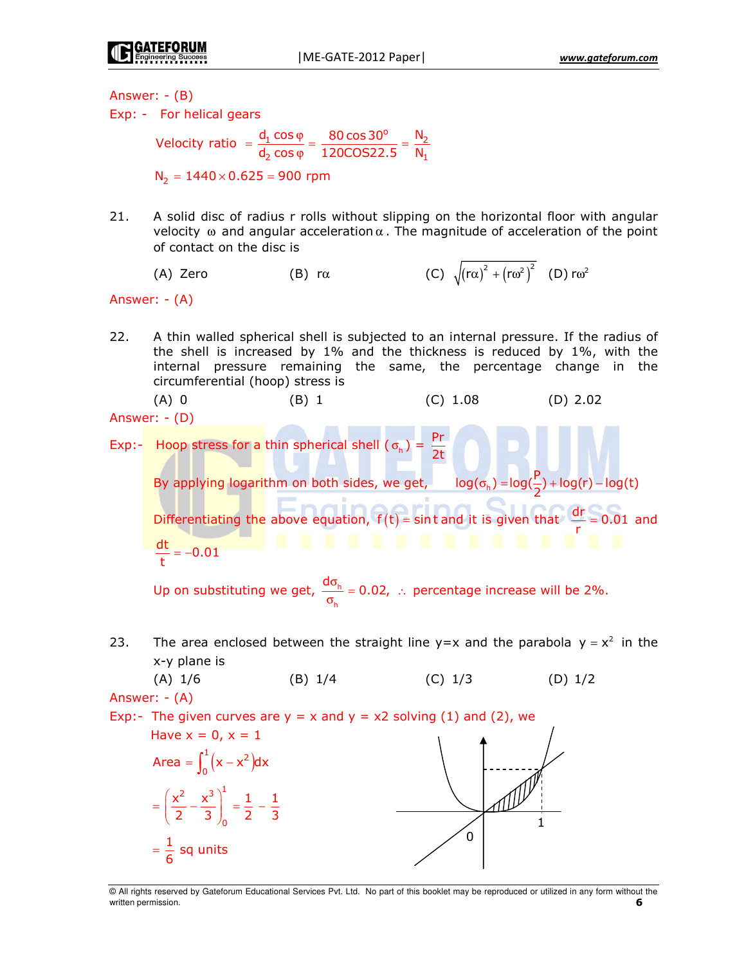Answer:  $-(B)$ Exp: - For helical gears Velocity ratio =  $\frac{d_1 \cos \varphi}{d_2 \cos \varphi}$  =  $\frac{80 \cos 30^\circ}{120 \cos 22.5}$  =  $\frac{N_2}{N_1}$  $N_2 = 1440 \times 0.625 = 900$  rpm A solid disc of radius r rolls without slipping on the horizontal floor with angular  $21.$ velocity  $\omega$  and angular acceleration  $\alpha$ . The magnitude of acceleration of the point of contact on the disc is (C)  $\sqrt{(r\alpha)^2 + (r\omega^2)^2}$  (D)  $r\omega^2$ (A) Zero  $(B)$  r $\alpha$ Answer: - (A)  $22.$ A thin walled spherical shell is subjected to an internal pressure. If the radius of the shell is increased by 1% and the thickness is reduced by 1%, with the internal pressure remaining the same, the percentage change in the circumferential (hoop) stress is  $(A)$  0  $(C) 1.08$  $(D)$  2.02  $(B)$  1 Answer:  $-(D)$ Exp:- Hoop stress for a thin spherical shell ( $\sigma_h$ ) =  $\frac{Pr}{2f}$ By applying logarithm on both sides, we get,  $log(\sigma_h) = log(\frac{P}{2}) + log(r) - log(t)$ Differentiating the above equation,  $f(t) = \sin t$  and it is given that  $\frac{dr}{r} = 0.01$  and . . . . . . . . . . . . .  $\frac{dt}{t} = -0.01$ Up on substituting we get,  $\frac{d\sigma_h}{\sigma}$  = 0.02, : percentage increase will be 2%. The area enclosed between the straight line  $y=x$  and the parabola  $y = x^2$  in the 23. x-y plane is  $(A)$  1/6  $(B)$  1/4  $(C)$  1/3  $(D) 1/2$ Answer:  $-(A)$ Exp:- The given curves are  $y = x$  and  $y = x^2$  solving (1) and (2), we Have  $x = 0, x = 1$ Area =  $\int_{0}^{1} (x - x^2) dx$  $=\left(\frac{x^2}{2}-\frac{x^3}{3}\right)^1=\frac{1}{2}-\frac{1}{3}$ 

 $=\frac{1}{6}$  sq units

@ All rights reserved by Gateforum Educational Services Pvt. Ltd. No part of this booklet may be reproduced or utilized in any form without the written permission. 6

 $\Omega$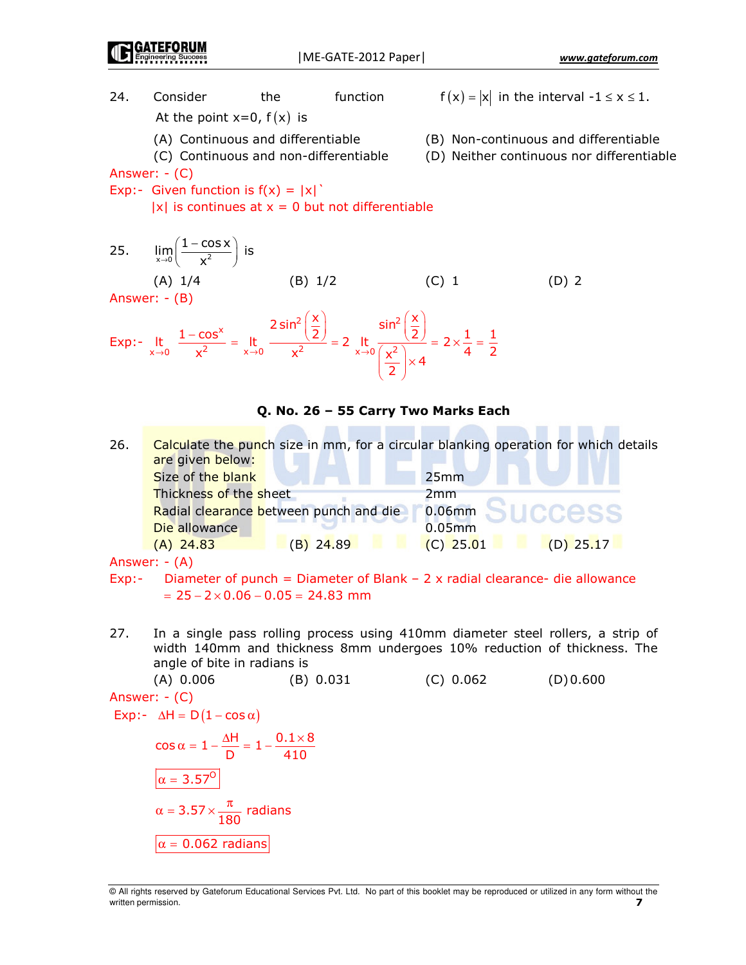www.gateforum.com

 $f(x) = |x|$  in the interval  $-1 \le x \le 1$ . 24. Consider the function At the point  $x=0$ ,  $f(x)$  is (A) Continuous and differentiable (B) Non-continuous and differentiable (C) Continuous and non-differentiable (D) Neither continuous nor differentiable Answer:  $-(C)$ Exp:- Given function is  $f(x) = |x|$  $|x|$  is continues at  $x = 0$  but not differentiable  $\lim_{x\to 0} \left( \frac{1-\cos x}{x^2} \right)$  is 25.  $(A)$  1/4  $(C)$  1  $(B) 1/2$  $(D)$  2 Answer:  $-(B)$  $\overline{(\cdot,\cdot)}$  $\sqrt{2}$ 

$$
\text{Exp:} - \lim_{x \to 0} \frac{1 - \cos^x}{x^2} = \lim_{x \to 0} \frac{2 \sin^2 \left(\frac{x}{2}\right)}{x^2} = 2 \lim_{x \to 0} \frac{\sin^2 \left(\frac{x}{2}\right)}{\left(\frac{x^2}{2}\right) \times 4} = 2 \times \frac{1}{4} = \frac{1}{2}
$$

## Q. No. 26 - 55 Carry Two Marks Each

26. Calculate the punch size in mm, for a circular blanking operation for which details are given below: Size of the blank  $25mm$ Thickness of the sheet  $2mm$ Radial clearance between punch and die  $0.06$ mm Die allowance  $0.05<sub>mm</sub>$  $(A)$  24.83 (B) 24.89  $(C)$  25.01  $(D)$  25.17

Answer:  $-(A)$ 

Diameter of punch = Diameter of Blank  $-$  2 x radial clearance- die allowance  $ExD:$  $= 25 - 2 \times 0.06 - 0.05 = 24.83$  mm

27. In a single pass rolling process using 410mm diameter steel rollers, a strip of width 140mm and thickness 8mm undergoes 10% reduction of thickness. The angle of bite in radians is

 $(A) 0.006$  $(C) 0.062$  $(B) 0.031$  $(D)0.600$ Answer: - (C) Exp:-  $\Delta H = D(1 - \cos \alpha)$  $\cos \alpha = 1 - \frac{\Delta H}{D} = 1 - \frac{0.1 \times 8}{410}$  $\alpha = 3.57^{\circ}$ 

 $\alpha = 3.57 \times \frac{\pi}{180}$  radians  $|\alpha = 0.062$  radians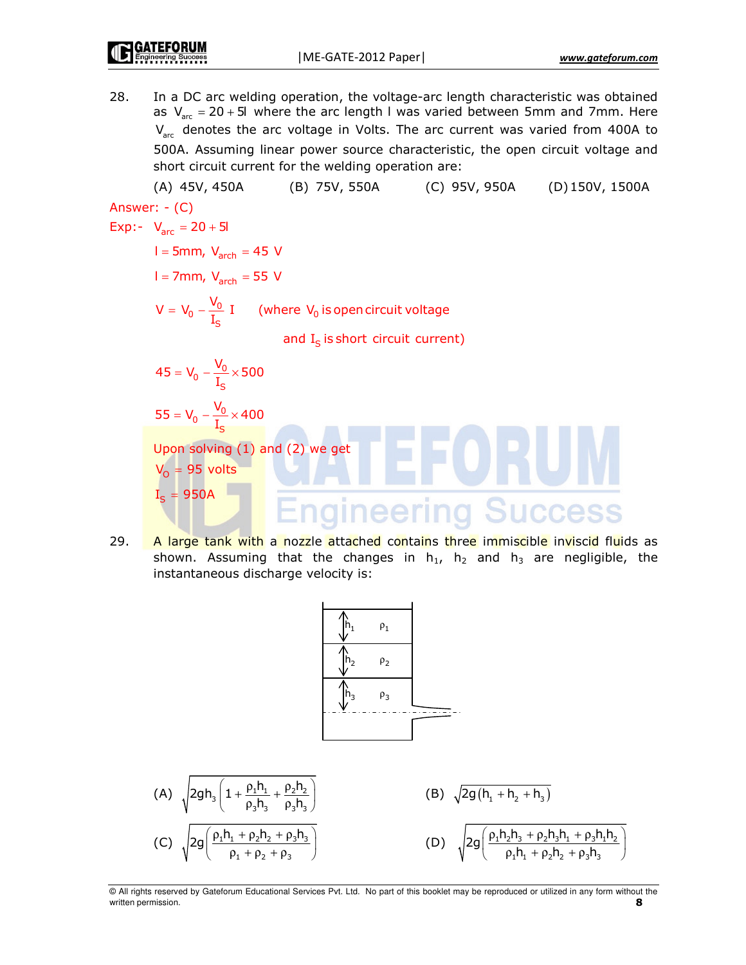28. In a DC arc welding operation, the voltage-arc length characteristic was obtained as  $V_{\text{arc}} = 20 + 5I$  where the arc length I was varied between 5mm and 7mm. Here  $V_{\text{arc}}$  denotes the arc voltage in Volts. The arc current was varied from 400A to 500A. Assuming linear power source characteristic, the open circuit voltage and short circuit current for the welding operation are:

(A) 45V, 450A (B) 75V, 550A (C) 95V, 950A (D) 150V, 1500A Answer: - (C) Exp:-  $V_{\text{arc}} = 20 + 5I$  $I = 5$ mm,  $V<sub>arch</sub> = 45 V$  $I = 7$ mm,  $V_{\text{arch}} = 55$  V  $V = V_0 - \frac{V_0}{I_c} I$  (where  $V_0$  is open circuit voltage and  $I_s$  is short circuit current)  $45 = V_0 - \frac{V_0}{I_s} \times 500$  $55 = V_0 - \frac{V_0}{I_c} \times 400$ Upon solving (1) and (2) we get  $V_0 = 95$  volts  $I_c = 950A$ 29. A large tank with a nozzle attached contains three immiscible inviscid fluids as

shown. Assuming that the changes in  $h_1$ ,  $h_2$  and  $h_3$  are negligible, the instantaneous discharge velocity is:



 $\sqrt{2gh_3\left(1+\frac{\rho_1 h_1}{\rho_3 h_3}+\frac{\rho_2 h_2}{\rho_3 h_3}\right)}$ (B)  $\sqrt{2g(h_1 + h_2 + h_3)}$  $2g\left(\frac{\rho_1 h_1 + \rho_2 h_2 + \rho_3 h_3}{\rho_1 + \rho_2 h_3}\right)$ (D)  $\sqrt{2g\left(\frac{\rho_1 h_2 h_3 + \rho_2 h_3 h_1 + \rho_3 h_1 h_2}{\rho_1 h_1 + \rho_2 h_2 + \rho_3 h_3 h_2}\right)}$ 

@ All rights reserved by Gateforum Educational Services Pvt. Ltd. No part of this booklet may be reproduced or utilized in any form without the written permission. 8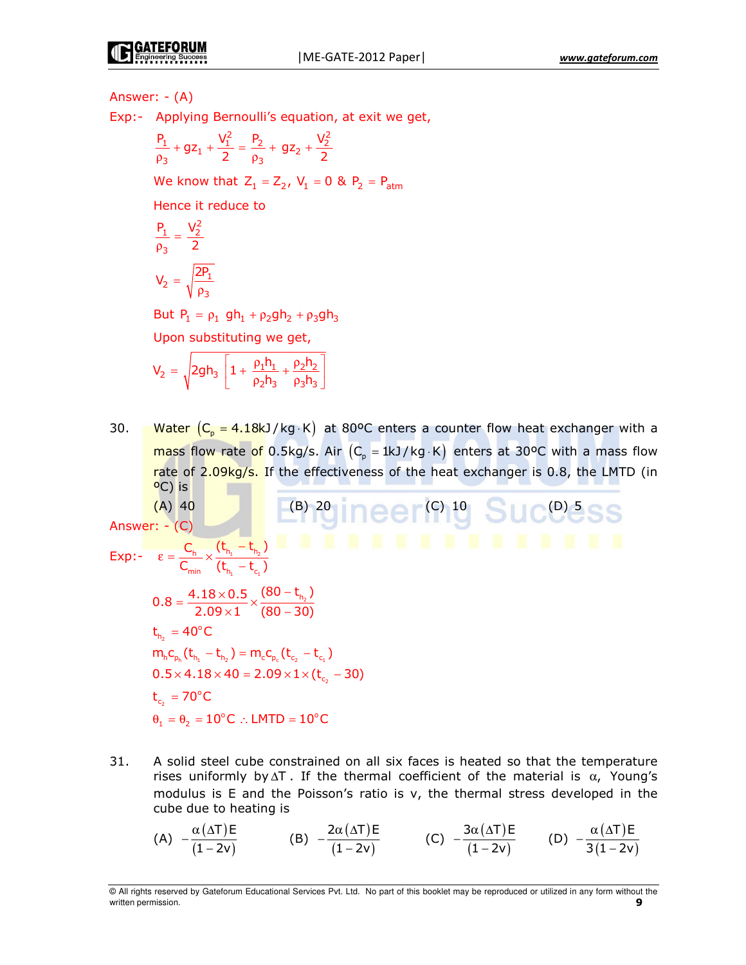#### Answer:  $-(A)$

Exp:- Applying Bernoulli's equation, at exit we get,

$$
\frac{P_1}{\rho_3} + gz_1 + \frac{V_1^2}{2} = \frac{P_2}{\rho_3} + gz_2 + \frac{V_2^2}{2}
$$

We know that  $Z_1 = Z_2$ ,  $V_1 = 0$  &  $P_2 = P_{\text{atm}}$ 

Hence it reduce to

$$
\frac{P_1}{\rho_3} = \frac{V_2^2}{2}
$$

$$
V_2 = \sqrt{\frac{2P_1}{\rho_3}}
$$

But  $P_1 = \rho_1 gh_1 + \rho_2 gh_2 + \rho_3 gh_3$ 

Upon substituting we get,

$$
V_2 = \sqrt{2gh_3 \left[1 + \frac{\rho_1 h_1}{\rho_2 h_3} + \frac{\rho_2 h_2}{\rho_3 h_3}\right]}
$$

Water  $(C_p = 4.18kJ/kg \cdot K)$  at 80°C enters a counter flow heat exchanger with a 30. mass flow rate of 0.5kg/s. Air  $(C_p = 1kJ/kg \cdot K)$  enters at 30°C with a mass flow rate of 2.09kg/s. If the effectiveness of the heat exchanger is 0.8, the LMTD (in OC) is a control of the set of the set of the set of the set of the set of the set of the set of the set of th

Answer: - (c)  
\n
$$
Exp: - \varepsilon = \frac{C_h}{C_{min}} \times \frac{(t_{h_1} - t_{n_2})}{(t_{h_1} - t_{c_1})}
$$
\n
$$
0.8 = \frac{4.18 \times 0.5}{2.09 \times 1} \times \frac{(80 - t_{h_2})}{(80 - 30)}
$$
\n
$$
t_{h_2} = 40^{\circ}C
$$
\n
$$
m_h c_{p_h} (t_{h_1} - t_{n_2}) = m_c c_{p_c} (t_{c_2} - t_{c_1})
$$
\n
$$
0.5 \times 4.18 \times 40 = 2.09 \times 1 \times (t_{c_2} - 30)
$$
\n
$$
t_{c_2} = 70^{\circ}C
$$
\n
$$
\theta_1 = \theta_2 = 10^{\circ}C
$$
:. LMTD = 10<sup>°</sup>C

31. A solid steel cube constrained on all six faces is heated so that the temperature rises uniformly by  $\Delta T$ . If the thermal coefficient of the material is  $\alpha$ , Young's modulus is E and the Poisson's ratio is v, the thermal stress developed in the cube due to heating is

(A) 
$$
-\frac{\alpha(\Delta T)E}{(1-2v)}
$$
 (B)  $-\frac{2\alpha(\Delta T)E}{(1-2v)}$  (C)  $-\frac{3\alpha(\Delta T)E}{(1-2v)}$  (D)  $-\frac{\alpha(\Delta T)E}{3(1-2v)}$ 

<sup>@</sup> All rights reserved by Gateforum Educational Services Pvt. Ltd. No part of this booklet may be reproduced or utilized in any form without the written permission. q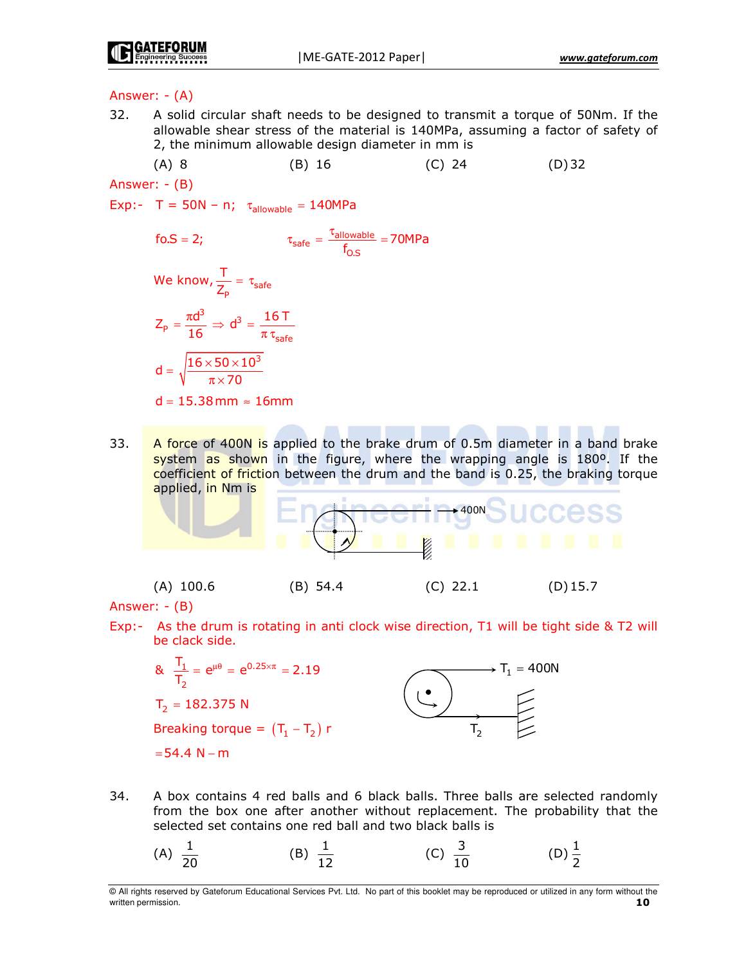# Answer:  $-(A)$

- 32. A solid circular shaft needs to be designed to transmit a torque of 50Nm. If the allowable shear stress of the material is 140MPa, assuming a factor of safety of 2, the minimum allowable design diameter in mm is
	- $(A)$  8  $(B)$  16  $(C)$  24  $(D)$  32

Answer: - (B)

Exp:- T = 50N - n;  $\tau_{\text{allowable}} = 140MPa$ 

$$
\tau_{\text{safe}} = \frac{\tau_{\text{allowable}}}{f_{\text{O.S}}} = 70 \text{MPa}
$$
\n
$$
\text{We know, } \frac{T}{Z_{\text{p}}} = \tau_{\text{safe}}
$$
\n
$$
Z_{\text{p}} = \frac{\pi d^3}{16} \Rightarrow d^3 = \frac{16 \text{ T}}{\pi \tau_{\text{safe}}}
$$
\n
$$
d = \sqrt{\frac{16 \times 50 \times 10^3}{\pi \times 70}}
$$
\n
$$
d = 15.38 \text{ mm} \approx 16 \text{ mm}
$$

33. A force of 400N is applied to the brake drum of 0.5m diameter in a band brake system as shown in the figure, where the wrapping angle is 180<sup>o</sup>. If the coefficient of friction between the drum and the band is 0.25, the braking torque applied, in Nm is

Answer:  $-(B)$ 

Exp:- As the drum is rotating in anti clock wise direction, T1 will be tight side & T2 will be clack side.

$$
8. \frac{T_1}{T_2} = e^{\mu \theta} = e^{0.25 \times \pi} = 2.19
$$
  
\n
$$
T_2 = 182.375 \text{ N}
$$
  
\nBreaking torque =  $(T_1 - T_2) r$   
\n= 54.4 N - m

- 34. A box contains 4 red balls and 6 black balls. Three balls are selected randomly from the box one after another without replacement. The probability that the selected set contains one red ball and two black balls is
	- (D)  $\frac{1}{2}$ (A)  $\frac{1}{20}$ (B)  $\frac{1}{12}$ (C)  $\frac{3}{10}$

<sup>@</sup> All rights reserved by Gateforum Educational Services Pvt. Ltd. No part of this booklet may be reproduced or utilized in any form without the written permission.  $10<sup>1</sup>$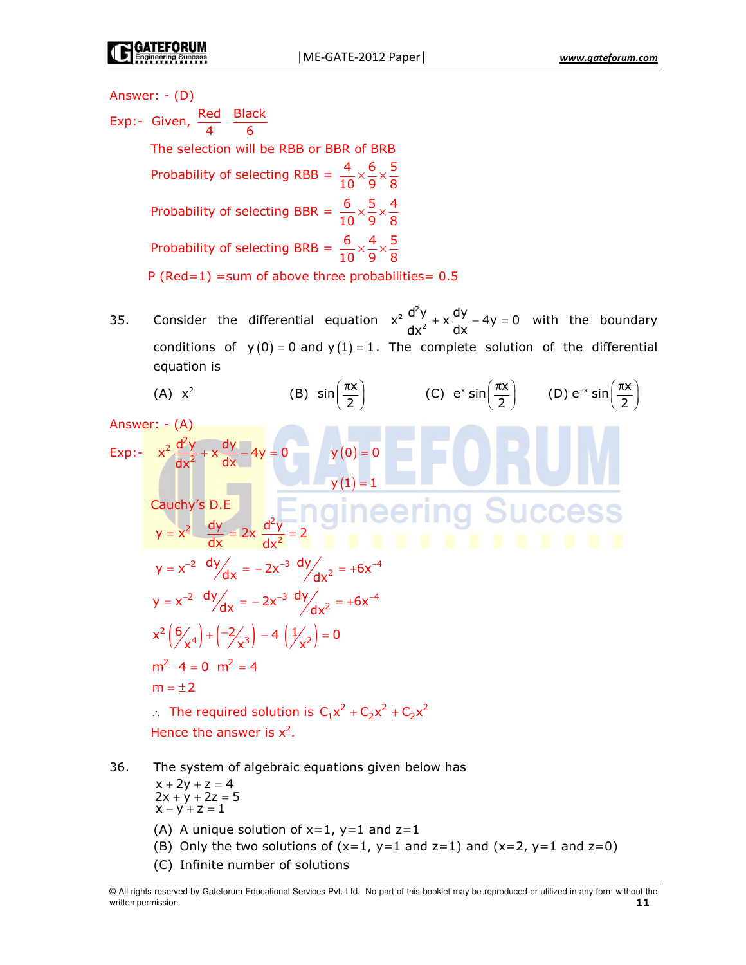Answer:  $-(D)$ 

Exp:- Given,  $\frac{\text{Red}}{4}$   $\frac{\text{Black}}{6}$ The selection will be RBB or BBR of BRB Probability of selecting RBB =  $\frac{4}{10} \times \frac{6}{9} \times \frac{5}{8}$ Probability of selecting BBR =  $\frac{6}{10} \times \frac{5}{9} \times \frac{4}{8}$ Probability of selecting BRB =  $\frac{6}{10} \times \frac{4}{9} \times \frac{5}{8}$ P (Red=1) = sum of above three probabilities =  $0.5$ 

Consider the differential equation  $x^2 \frac{d^2y}{dx^2} + x \frac{dy}{dx} - 4y = 0$  with the boundary 35. conditions of  $y(0) = 0$  and  $y(1) = 1$ . The complete solution of the differential equation is

(A) 
$$
x^2
$$
 (B)  $sin(\frac{\pi x}{2})$  (C)  $e^x sin(\frac{\pi x}{2})$  (D)  $e^{-x} sin(\frac{\pi x}{2})$   
\nAnswer:  $-\frac{4}{9}$   
\n $x^2 \frac{d^2y}{dx^2} + x \frac{dy}{dx} - 4y = 0$   
\n $y(0) = 0$   
\n $y(1) = 1$   
\nCauchy's D.E.  
\n $y = x^2 \frac{dy}{dx} = 2x \frac{d^2y}{dx^2} = 2$   
\n $y = x^{-2} \frac{dy}{dx} = -2x^{-3} \frac{dy}{dx^2} = +6x^{-4}$   
\n $x^2 \left(\frac{6}{x^4}\right) + \left(-\frac{2}{x^3}\right) - 4\left(\frac{1}{x^2}\right) = 0$   
\n $m^2$  4 = 0  $m^2 = 4$   
\n $m = \pm 2$   
\n $\therefore$  The required solution is  $C_1x^2 + C_2x^2 + C_2x^2$   
\nHence the answer is  $x^2$ .

36. The system of algebraic equations given below has

$$
x + 2y + z = 4 \n2x + y + 2z = 5 \nx - y + z = 1
$$

- (A) A unique solution of  $x=1$ ,  $y=1$  and  $z=1$
- (B) Only the two solutions of  $(x=1, y=1, z=1)$  and  $(x=2, y=1, z=0)$
- (C) Infinite number of solutions

H rights reserved by Gateforum Educational Services Pvt. Ltd. No part of this booklet may be reproduced or utilized in any form without the written permission. 11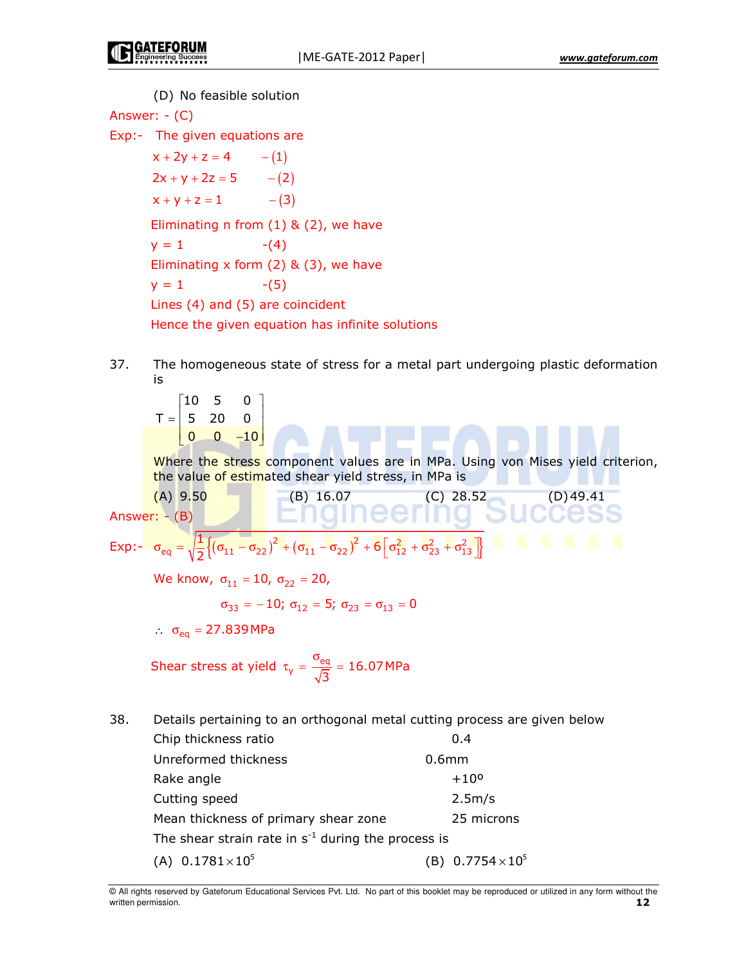(D) No feasible solution Answer:  $-(C)$ Exp:- The given equations are  $x + 2y + z = 4$  $- (1)$  $2x + y + 2z = 5$  $- (2)$  $x + y + z = 1$  $- (3)$ Eliminating n from  $(1)$  &  $(2)$ , we have  $y = 1$  $-(4)$ Eliminating x form  $(2)$  &  $(3)$ , we have  $y = 1$  $-(5)$ Lines  $(4)$  and  $(5)$  are coincident Hence the given equation has infinite solutions

37. The homogeneous state of stress for a metal part undergoing plastic deformation is

 $\begin{bmatrix} 10 & 5 \end{bmatrix}$  $\mathbf 0$  $T = \begin{vmatrix} 5 & 20 \end{vmatrix}$  $\Omega$  $\overline{0}$  $\begin{bmatrix} 0 & -10 \end{bmatrix}$ 

Where the stress component values are in MPa. Using von Mises yield criterion, the value of estimated shear yield stress, in MPa is

Answer: - (B)  
\nAnswer: - (B)  
\n
$$
\begin{bmatrix}\n(B) & 16.07 & (C) & 28.52 \\
C) & 49.41 & (D) & 49.41\n\end{bmatrix}
$$
\n(19.49.41  
\n
$$
\sigma_{eq} = \sqrt{\frac{1}{2} \{ (\sigma_{11} - \sigma_{22})^2 + (\sigma_{11} - \sigma_{22})^2 + 6 [\sigma_{12}^2 + \sigma_{23}^2 + \sigma_{13}^2] \}}
$$
\nWe know,  $\sigma_{11} = 10$ ,  $\sigma_{22} = 20$ ,  
\n $\sigma_{33} = -10$ ;  $\sigma_{12} = 5$ ;  $\sigma_{23} = \sigma_{13} = 0$   
\n $\therefore \sigma_{eq} = 27.839 MPa$   
\nShear stress at yield  $\tau_y = \frac{\sigma_{eq}}{\sqrt{3}} = 16.07 MPa$ 

38. Details pertaining to an orthogonal metal cutting process are given below

| Chip thickness ratio                                    | 0.4                      |
|---------------------------------------------------------|--------------------------|
| Unreformed thickness                                    | 0.6 <sub>mm</sub>        |
| Rake angle                                              | $+10^{\circ}$            |
| Cutting speed                                           | 2.5m/s                   |
| Mean thickness of primary shear zone                    | 25 microns               |
| The shear strain rate in $s^{-1}$ during the process is |                          |
| (A) $0.1781 \times 10^5$                                | (B) $0.7754 \times 10^5$ |
|                                                         |                          |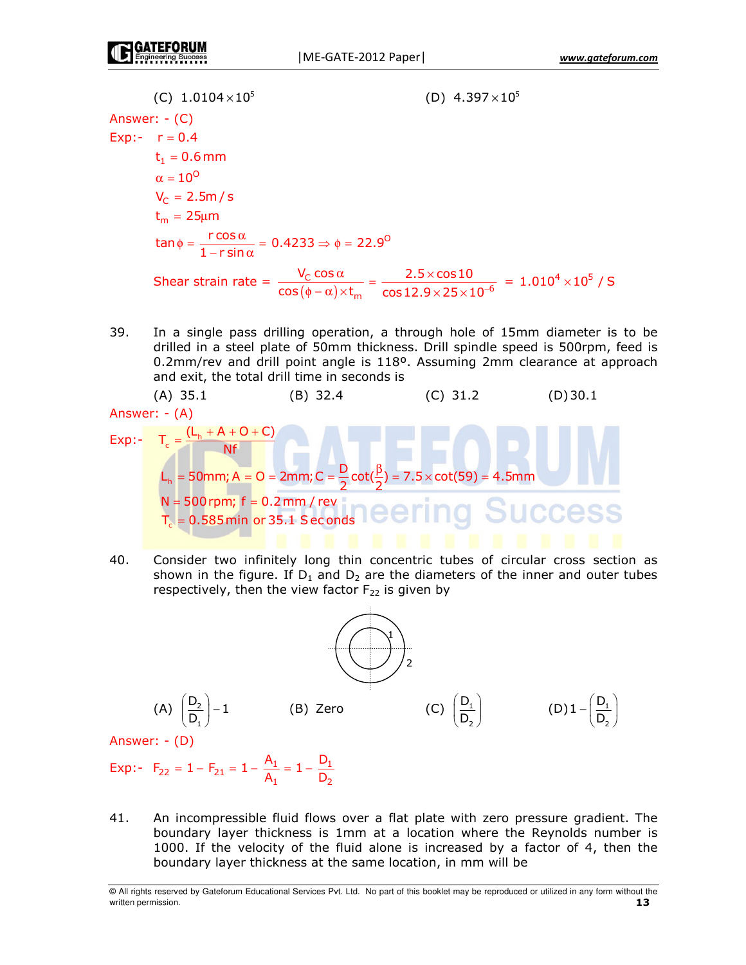(C)  $1.0104 \times 10^5$ (D)  $4.397 \times 10^5$ Answer:  $-(C)$ Exp:-  $r = 0.4$  $t_1 = 0.6$  mm  $\alpha = 10^{\circ}$  $V_c = 2.5m/s$  $t_m = 25 \mu m$  $\tan \phi = \frac{r \cos \alpha}{1 - r \sin \alpha} = 0.4233 \Rightarrow \phi = 22.9^\circ$ Shear strain rate =  $\frac{V_{C} \cos \alpha}{\cos(\phi - \alpha) \times t_{m}} = \frac{2.5 \times \cos 10}{\cos 12.9 \times 25 \times 10^{-6}} = 1.010^{4} \times 10^{5} / S$ 

39. In a single pass drilling operation, a through hole of 15mm diameter is to be drilled in a steel plate of 50mm thickness. Drill spindle speed is 500rpm, feed is 0.2mm/rev and drill point angle is 118º. Assuming 2mm clearance at approach and exit, the total drill time in seconds is

(A) 35.1 (B) 32.4 (C) 31.2 (D) 30.1  
\nAnswer: - (A)  
\nExp: 
$$
T_c = \frac{(L_h + A + O + C)}{Nf}
$$
  
\n $L_h = 50$ mm;  $A = O = 2$ mm;  $C = \frac{D}{2} \cot(\frac{\beta}{2}) = 7.5 \times \cot(59) = 4.5$ mm  
\nN = 500 rpm; f = 0.2 mm / rev  
\n $T_c = 0.585$ min or 35.1 seconds

 $40.$ Consider two infinitely long thin concentric tubes of circular cross section as shown in the figure. If  $D_1$  and  $D_2$  are the diameters of the inner and outer tubes respectively, then the view factor  $F_{22}$  is given by



41. An incompressible fluid flows over a flat plate with zero pressure gradient. The boundary layer thickness is 1mm at a location where the Reynolds number is 1000. If the velocity of the fluid alone is increased by a factor of 4, then the boundary layer thickness at the same location, in mm will be

<sup>@</sup> All rights reserved by Gateforum Educational Services Pvt. Ltd. No part of this booklet may be reproduced or utilized in any form without the written permission.  $13$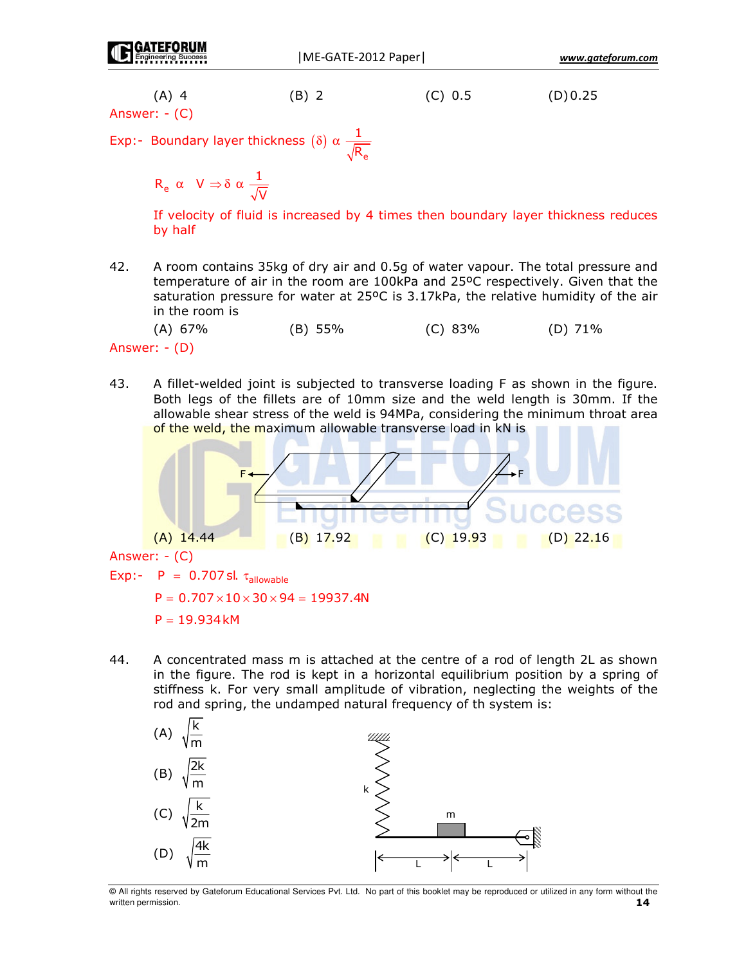Answer: - (C)

Exp:- Boundary layer thickness ( $\delta$ )  $\alpha \frac{1}{\sqrt{R}}$ 

$$
\mathsf{R}_{\mathsf{e}}\ \alpha\quad \mathsf{V}\Rightarrow \delta\ \alpha\ \frac{1}{\sqrt{\mathsf{V}}}
$$

If velocity of fluid is increased by 4 times then boundary layer thickness reduces by half

42. A room contains 35kg of dry air and 0.5g of water vapour. The total pressure and temperature of air in the room are 100kPa and 25°C respectively. Given that the saturation pressure for water at 25°C is 3.17kPa, the relative humidity of the air in the room is



43. A fillet-welded joint is subjected to transverse loading F as shown in the figure. Both legs of the fillets are of 10mm size and the weld length is 30mm. If the allowable shear stress of the weld is 94MPa, considering the minimum throat area of the weld, the maximum allowable transverse load in kN is



Answer: - (C)

Exp:-  $P = 0.707$  sl.  $\tau_{\text{allowable}}$ 

 $P = 0.707 \times 10 \times 30 \times 94 = 19937.4N$ 

 $P = 19.934kM$ 

44. A concentrated mass m is attached at the centre of a rod of length 2L as shown in the figure. The rod is kept in a horizontal equilibrium position by a spring of stiffness k. For very small amplitude of vibration, neglecting the weights of the rod and spring, the undamped natural frequency of th system is:



@ All rights reserved by Gateforum Educational Services Pvt. Ltd. No part of this booklet may be reproduced or utilized in any form without the written permission. 14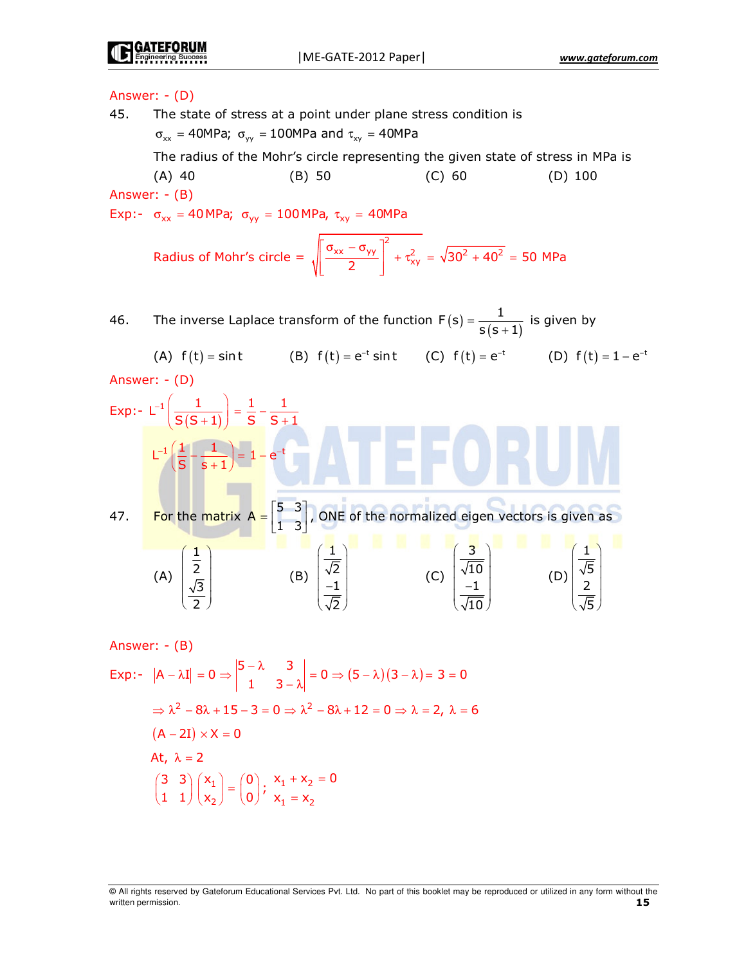# **GATEFORUN**

# Answer: - (D)

45. The state of stress at a point under plane stress condition is σ $_{\rm xx}$  = 40MPa;  $\sigma_{_{\rm yy}}$  = 100MPa and  $\tau_{_{\rm xy}}$  = 40MPa

The radius of the Mohr's circle representing the given state of stress in MPa is  $(A)$  40  $(B)$  50  $(C)$  60  $(D)$  100 Answer: - (B)

Exp:-  $\sigma_{xx}$  = 40MPa;  $\sigma_{yy}$  = 100MPa,  $\tau_{xy}$  = 40MPa

Radius of Mohr's circle  $=$ \*  $\frac{6}{2}$  +  $\tau_{xy}^2$  +  $\tau_{xy}^2$  $\lceil \sigma_{xx} - \sigma_{yy} \rceil^2$  $\left| \frac{N}{2} \right| + \tau$  $\begin{bmatrix} 2 & \end{bmatrix}$  $= \sqrt{30^2 + 40^2} = 50$  MPa

46. The inverse Laplace transform of the function  $F(s) = \frac{1}{s(s+1)}$  $F(s) = \frac{1}{s(s+1)}$ is given by

(A)  $f(t) = \text{sin} t$  (B)  $f(t) = e^{-t} \text{sin} t$  (C)  $f(t) = e^{-t}$  (D)  $f(t) = 1 - e^{-t}$ Answer: - (D) Exp:-  $L^{-1} \left( \frac{1}{S(S+1)} \right) = \frac{1}{S} - \frac{1}{S+1}$ 

( ) - -- - -C -<sup>−</sup> - − +  - − = − 31 7  6 / 4 - 4 = , 5  
I &  & -\* 4 \* - -\* -\* - − " 4 -+ --+ - − \$ -/ \* / - 

Answer: 
$$
-\frac{1}{2}
$$
  
\nExp:  $|A - \lambda I| = 0 \Rightarrow \begin{vmatrix} 5 - \lambda & 3 \\ 1 & 3 - \lambda \end{vmatrix} = 0 \Rightarrow (5 - \lambda)(3 - \lambda) = 3 = 0$   
\n $\Rightarrow \lambda^2 - 8\lambda + 15 - 3 = 0 \Rightarrow \lambda^2 - 8\lambda + 12 = 0 \Rightarrow \lambda = 2, \lambda = 6$   
\n $(A - 2I) \times X = 0$   
\nAt,  $\lambda = 2$   
\n $\begin{pmatrix} 3 & 3 \\ 1 & 1 \end{pmatrix} \begin{pmatrix} x_1 \\ x_2 \end{pmatrix} = \begin{pmatrix} 0 \\ 0 \end{pmatrix}; \begin{cases} x_1 + x_2 = 0 \\ x_1 = x_2 \end{cases}$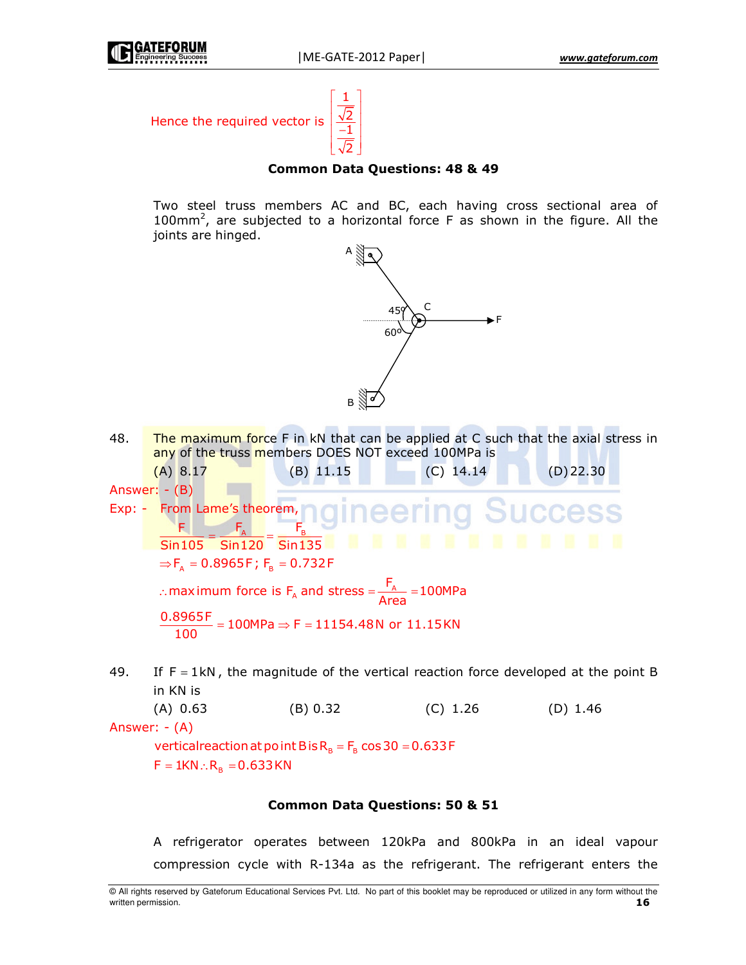



# **Common Data Questions: 48 & 49**

Two steel truss members AC and BC, each having cross sectional area of 100mm<sup>2</sup>, are subjected to a horizontal force F as shown in the figure. All the joints are hinged.



48. The maximum force F in kN that can be applied at C such that the axial stress in any of the truss members DOES NOT exceed 100MPa is

 $(A) 8.17$  $(B)$  11.15  $(C)$  14.14  $(D)$  22.30 Answer:  $-(B)$ Exp:  $-$  From Lame's theorem,<br>F. F. F. ngineeri **Success**  $Sin105$   $Sin120$   $Sin135$   $Sin135$   $Sin1135$   $Sin111$   $Sin111$   $Sin111$   $Sin111$  $\Rightarrow$  F<sub>A</sub> = 0.8965F; F<sub>B</sub> = 0.732F : maximum force is  $F_A$  and stress =  $\frac{F_A}{Area}$  = 100MPa  $\frac{0.8965F}{100} = 100MPa \Rightarrow F = 11154.48N \text{ or } 11.15KN$ 

49. If  $F = 1kN$ , the magnitude of the vertical reaction force developed at the point B in KN is

 $(A) 0.63$ (B) 0.32  $(C)$  1.26  $(D)$  1.46

Answer:  $-(A)$ 

vertical reaction at point B is  $R_B = F_B \cos 30 = 0.633 F$  $F = 1KN \therefore R_B = 0.633 KN$ 

## **Common Data Questions: 50 & 51**

A refrigerator operates between 120kPa and 800kPa in an ideal vapour compression cycle with R-134a as the refrigerant. The refrigerant enters the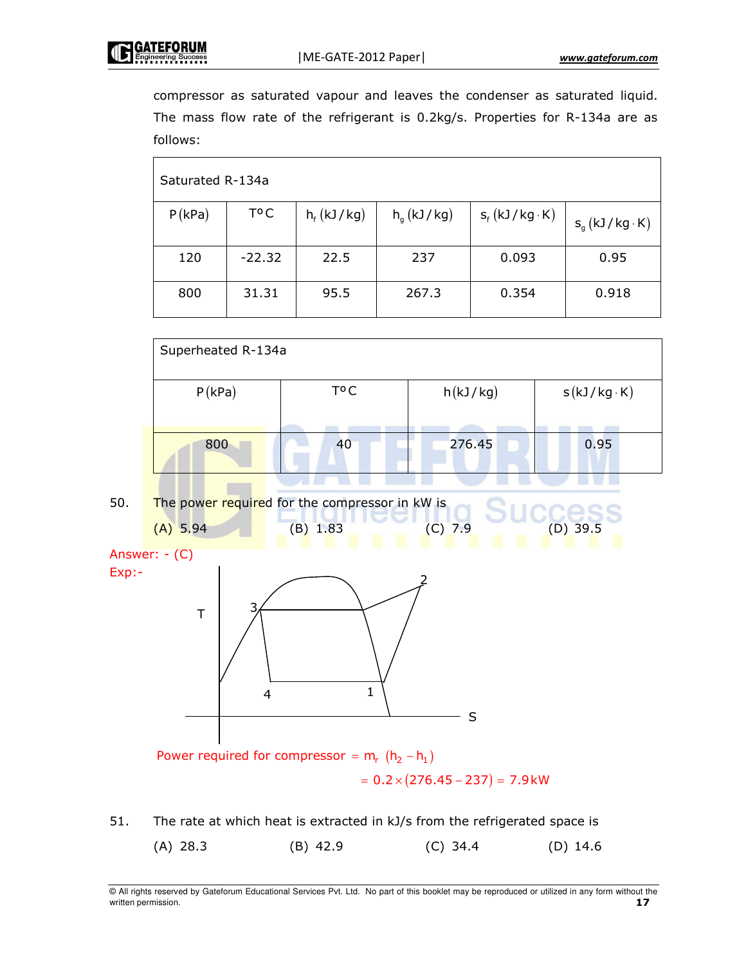compressor as saturated vapour and leaves the condenser as saturated liquid. The mass flow rate of the refrigerant is  $0.2$ kg/s. Properties for R-134a are as follows:

| Saturated R-134a |          |                 |              |                      |                      |
|------------------|----------|-----------------|--------------|----------------------|----------------------|
| P(kPa)           | T°C      | $h_f$ (kJ / kg) | $h_a(kJ/kg)$ | $s_f(kJ/kg \cdot K)$ | $S_q(kJ/kg \cdot K)$ |
| 120              | $-22.32$ | 22.5            | 237          | 0.093                | 0.95                 |
| 800              | 31.31    | 95.5            | 267.3        | 0.354                | 0.918                |





```
Answer: - (C)
Exp:
```


Power required for compressor =  $m_r$   $(h_2 - h_1)$ 

 $= 0.2 \times (276.45 - 237) = 7.9$  kW

51. . The rate at which heat is extracted in kJ/s from the refrigerated space is

| $(A)$ 28.3 |            |            | (D) $14.6$ |
|------------|------------|------------|------------|
|            | $(B)$ 42.9 | $(C)$ 34.4 |            |
|            |            |            |            |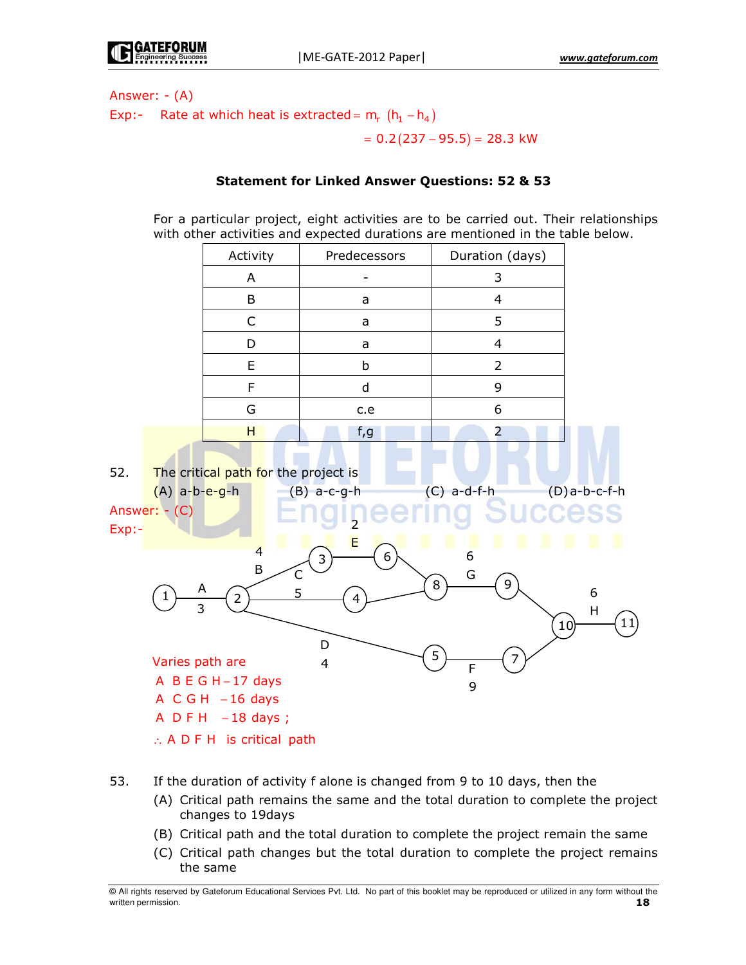Answer:  $-(A)$ Exp:- Rate at which heat is extracted =  $m_r$  ( $h_1 - h_4$ )

 $= 0.2(237 - 95.5) = 28.3$  kW

# **Statement for Linked Answer Questions: 52 & 53**

For a particular project, eight activities are to be carried out. Their relationships with other activities and expected durations are mentioned in the table below.

|                                                                                                                                                                                                                                                                                                                                                                                                                                                          |  | Activity                                                     | Predecessors | Duration (days) |  |  |
|----------------------------------------------------------------------------------------------------------------------------------------------------------------------------------------------------------------------------------------------------------------------------------------------------------------------------------------------------------------------------------------------------------------------------------------------------------|--|--------------------------------------------------------------|--------------|-----------------|--|--|
|                                                                                                                                                                                                                                                                                                                                                                                                                                                          |  | A                                                            |              | 3               |  |  |
|                                                                                                                                                                                                                                                                                                                                                                                                                                                          |  | B                                                            | a            | $\overline{4}$  |  |  |
|                                                                                                                                                                                                                                                                                                                                                                                                                                                          |  | C                                                            | a            | 5               |  |  |
|                                                                                                                                                                                                                                                                                                                                                                                                                                                          |  | D                                                            | a            | $\overline{4}$  |  |  |
|                                                                                                                                                                                                                                                                                                                                                                                                                                                          |  | E                                                            | $\sf b$      | $\overline{2}$  |  |  |
|                                                                                                                                                                                                                                                                                                                                                                                                                                                          |  | F                                                            | $\sf d$      | 9               |  |  |
|                                                                                                                                                                                                                                                                                                                                                                                                                                                          |  | G                                                            | c.e          | 6               |  |  |
|                                                                                                                                                                                                                                                                                                                                                                                                                                                          |  | H                                                            | f, g         | $\overline{2}$  |  |  |
| 52.<br>The critical path for the project is<br>$(D)a-b-c-f-h$<br>$(A)$ a-b-e-g-h<br>$(C)$ a-d-f-h<br>$(B)$ a-c-g-h<br>Answer: - (C)<br>S<br>Exp:<br>E<br>ш<br>ш<br>×<br>ш<br>$\overline{4}$<br>6<br>6<br>3<br>B<br>$\mathsf{C}$<br>G<br>9<br>8<br>A<br>5<br>6<br>1<br>$\overline{2}$<br>4<br>$\overline{3}$<br>$\sf H$<br>11)<br>10)<br>D<br>5<br>Varies path are<br>$\overline{4}$<br>$\overline{F}$<br>A B E G H-17 days<br>9<br>$A \ C G H - 16 days$ |  |                                                              |              |                 |  |  |
|                                                                                                                                                                                                                                                                                                                                                                                                                                                          |  | $A$ DFH $-18$ days;<br>$\therefore$ A D F H is critical path |              |                 |  |  |
|                                                                                                                                                                                                                                                                                                                                                                                                                                                          |  |                                                              |              |                 |  |  |

- 53. If the duration of activity f alone is changed from 9 to 10 days, then the
	- (A) Critical path remains the same and the total duration to complete the project changes to 19days
	- (B) Critical path and the total duration to complete the project remain the same
	- (C) Critical path changes but the total duration to complete the project remains the same

All rights reserved by Gateforum Educational Services Pvt. Ltd. No part of this booklet may be reproduced or utilized in any form without the 18 written permission.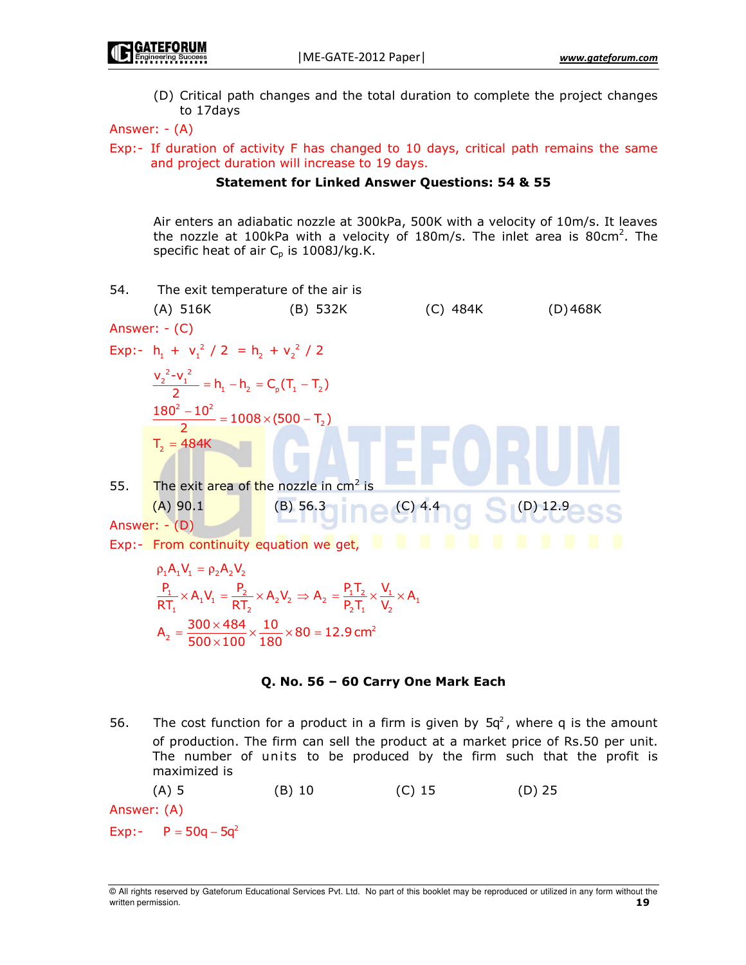(D) Critical path changes and the total duration to complete the project changes to 17days

Answer:  $-(A)$ 

Exp:- If duration of activity F has changed to 10 days, critical path remains the same and project duration will increase to 19 days.

#### **Statement for Linked Answer Questions: 54 & 55**

Air enters an adiabatic nozzle at 300kPa, 500K with a velocity of 10m/s. It leaves the nozzle at 100kPa with a velocity of 180m/s. The inlet area is 80cm<sup>2</sup>. The specific heat of air  $C_p$  is 1008J/kg.K.



$$
= \frac{1}{500 \times 100} \times \frac{1}{180} \times \text{o}
$$

## Q. No. 56 - 60 Carry One Mark Each

The cost function for a product in a firm is given by  $5q^2$ , where q is the amount 56. of production. The firm can sell the product at a market price of Rs.50 per unit. The number of units to be produced by the firm such that the profit is maximized is

Answer: (A)

Exp:-  $P = 50q - 5q^2$ 

<sup>@</sup> All rights reserved by Gateforum Educational Services Pvt. Ltd. No part of this booklet may be reproduced or utilized in any form without the written permission. 19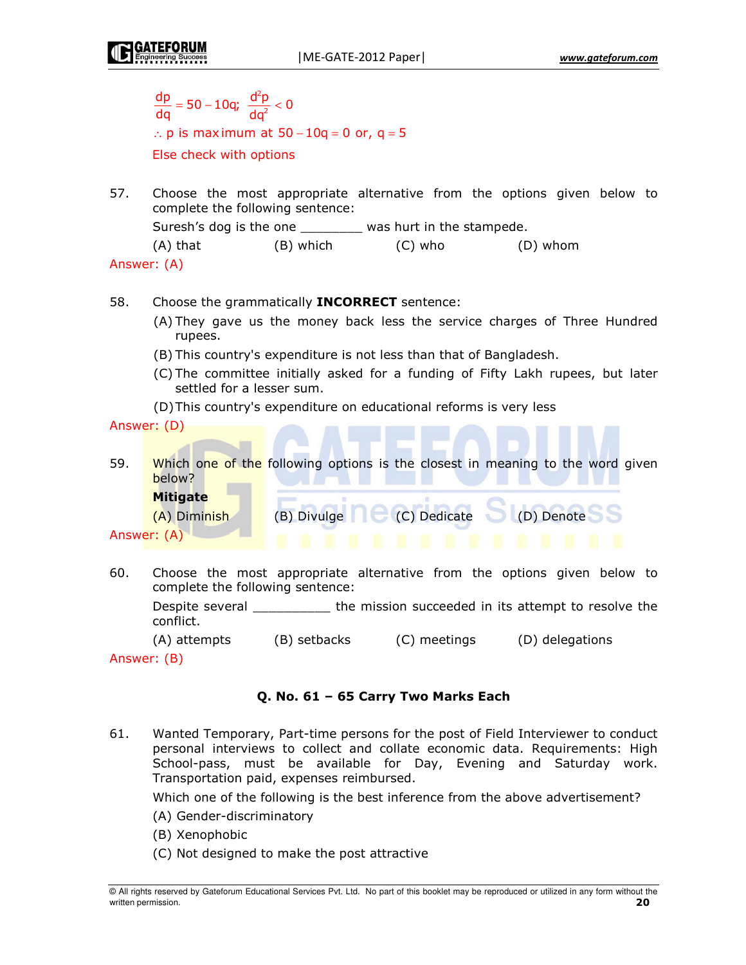|     | $\frac{dp}{dq}$ = 50 – 10q; $\frac{d^2p}{dq^2}$ < 0<br>Else check with options                                                                                           | $\therefore$ p is maximum at 50 - 10q = 0 or, q = 5 |                                         |                                                                                 |  |  |
|-----|--------------------------------------------------------------------------------------------------------------------------------------------------------------------------|-----------------------------------------------------|-----------------------------------------|---------------------------------------------------------------------------------|--|--|
| 57. | Choose the most appropriate alternative from the options given below to<br>complete the following sentence:<br>Suresh's dog is the one _______ was hurt in the stampede. |                                                     |                                         |                                                                                 |  |  |
|     |                                                                                                                                                                          |                                                     | (A) that (B) which (C) who              | (D) whom                                                                        |  |  |
|     | Answer: (A)                                                                                                                                                              |                                                     |                                         |                                                                                 |  |  |
|     |                                                                                                                                                                          |                                                     |                                         |                                                                                 |  |  |
| 58. |                                                                                                                                                                          | Choose the grammatically <b>INCORRECT</b> sentence: |                                         |                                                                                 |  |  |
|     | (A) They gave us the money back less the service charges of Three Hundred<br>rupees.                                                                                     |                                                     |                                         |                                                                                 |  |  |
|     | (B) This country's expenditure is not less than that of Bangladesh.                                                                                                      |                                                     |                                         |                                                                                 |  |  |
|     | (C) The committee initially asked for a funding of Fifty Lakh rupees, but later<br>settled for a lesser sum.                                                             |                                                     |                                         |                                                                                 |  |  |
|     | (D) This country's expenditure on educational reforms is very less                                                                                                       |                                                     |                                         |                                                                                 |  |  |
|     | Answer: (D)                                                                                                                                                              |                                                     |                                         |                                                                                 |  |  |
|     |                                                                                                                                                                          |                                                     |                                         |                                                                                 |  |  |
| 59. | below?                                                                                                                                                                   |                                                     |                                         | Which one of the following options is the closest in meaning to the word given  |  |  |
|     | <b>Mitigate</b>                                                                                                                                                          |                                                     |                                         |                                                                                 |  |  |
|     | (A) Diminish                                                                                                                                                             |                                                     | (B) Divulge C (C) Dedicate C (D) Denote |                                                                                 |  |  |
|     | Answer: (A)                                                                                                                                                              |                                                     | .                                       |                                                                                 |  |  |
| 60. | complete the following sentence:                                                                                                                                         |                                                     |                                         | Choose the most appropriate alternative from the options given below to         |  |  |
|     | conflict.                                                                                                                                                                |                                                     |                                         | Despite several ___________ the mission succeeded in its attempt to resolve the |  |  |
|     |                                                                                                                                                                          | (A) attempts (B) setbacks                           | (C) meetings                            | (D) delegations                                                                 |  |  |

Answer: (B)

# Q. No. 61 - 65 Carry Two Marks Each

61. Wanted Temporary, Part-time persons for the post of Field Interviewer to conduct personal interviews to collect and collate economic data. Requirements: High School-pass, must be available for Day, Evening and Saturday work. Transportation paid, expenses reimbursed.

Which one of the following is the best inference from the above advertisement?

- (A) Gender-discriminatory
- (B) Xenophobic
- (C) Not designed to make the post attractive

All rights reserved by Gateforum Educational Services Pvt. Ltd. No part of this booklet may be reproduced or utilized in any form without the written permission.  $20<sub>o</sub>$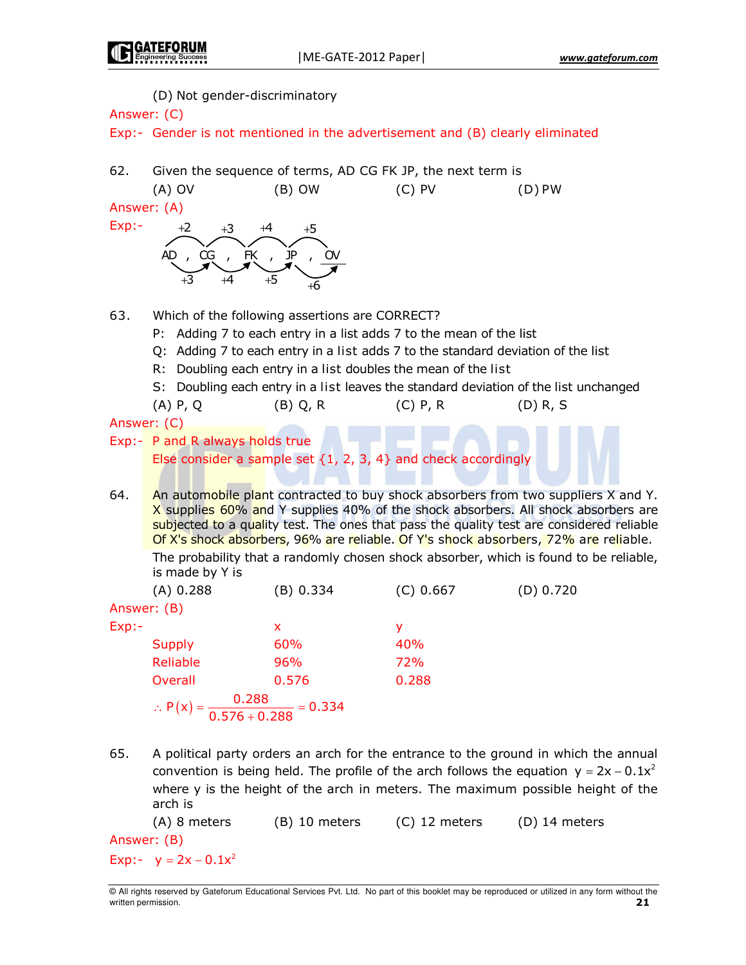(D) Not gender-discriminatory

| Answer: (C)                                                                                                                                                                                                                                                                                                                                                                                                                                               |                                                                               |                                                                                                                                                                                                                                                                           |            |                                                                                      |  |  |
|-----------------------------------------------------------------------------------------------------------------------------------------------------------------------------------------------------------------------------------------------------------------------------------------------------------------------------------------------------------------------------------------------------------------------------------------------------------|-------------------------------------------------------------------------------|---------------------------------------------------------------------------------------------------------------------------------------------------------------------------------------------------------------------------------------------------------------------------|------------|--------------------------------------------------------------------------------------|--|--|
|                                                                                                                                                                                                                                                                                                                                                                                                                                                           | Exp:- Gender is not mentioned in the advertisement and (B) clearly eliminated |                                                                                                                                                                                                                                                                           |            |                                                                                      |  |  |
| 62.                                                                                                                                                                                                                                                                                                                                                                                                                                                       | Given the sequence of terms, AD CG FK JP, the next term is                    |                                                                                                                                                                                                                                                                           |            |                                                                                      |  |  |
| Answer: (A)                                                                                                                                                                                                                                                                                                                                                                                                                                               | $(A)$ OV                                                                      | $(B)$ OW                                                                                                                                                                                                                                                                  | $(C)$ PV   | $(D)$ PW                                                                             |  |  |
| Exp:                                                                                                                                                                                                                                                                                                                                                                                                                                                      |                                                                               |                                                                                                                                                                                                                                                                           |            |                                                                                      |  |  |
|                                                                                                                                                                                                                                                                                                                                                                                                                                                           | $+3$<br>, K , P<br>AD, CG<br>+4                                               |                                                                                                                                                                                                                                                                           |            |                                                                                      |  |  |
| 63.                                                                                                                                                                                                                                                                                                                                                                                                                                                       |                                                                               | Which of the following assertions are CORRECT?<br>P: Adding 7 to each entry in a list adds 7 to the mean of the list<br>Q: Adding 7 to each entry in a list adds 7 to the standard deviation of the list<br>R: Doubling each entry in a list doubles the mean of the list |            | S: Doubling each entry in a list leaves the standard deviation of the list unchanged |  |  |
| Answer: (C)                                                                                                                                                                                                                                                                                                                                                                                                                                               | $(A)$ P, Q                                                                    | $(B)$ Q, R                                                                                                                                                                                                                                                                | $(C)$ P, R | $(D)$ R, S                                                                           |  |  |
|                                                                                                                                                                                                                                                                                                                                                                                                                                                           |                                                                               |                                                                                                                                                                                                                                                                           |            |                                                                                      |  |  |
|                                                                                                                                                                                                                                                                                                                                                                                                                                                           | Exp:- P and R always holds true                                               | Else consider a sample set $\{1, 2, 3, 4\}$ and check accordingly                                                                                                                                                                                                         |            |                                                                                      |  |  |
| An automobile plant contracted to buy shock absorbers from two suppliers X and Y.<br>64.<br>X supplies 60% and Y supplies 40% of the shock absorbers. All shock absorbers are<br>subjected to a quality test. The ones that pass the quality test are considered reliable<br>Of X's shock absorbers, 96% are reliable. Of Y's shock absorbers, 72% are reliable.<br>The probability that a randomly chosen shock absorber, which is found to be reliable, |                                                                               |                                                                                                                                                                                                                                                                           |            |                                                                                      |  |  |
|                                                                                                                                                                                                                                                                                                                                                                                                                                                           | is made by Y is                                                               |                                                                                                                                                                                                                                                                           |            |                                                                                      |  |  |
|                                                                                                                                                                                                                                                                                                                                                                                                                                                           | (A) 0.288                                                                     | (B) 0.334                                                                                                                                                                                                                                                                 | (C) 0.667  | (D) 0.720                                                                            |  |  |
| Answer: (B)                                                                                                                                                                                                                                                                                                                                                                                                                                               |                                                                               |                                                                                                                                                                                                                                                                           |            |                                                                                      |  |  |
| Exp:                                                                                                                                                                                                                                                                                                                                                                                                                                                      |                                                                               | x                                                                                                                                                                                                                                                                         | y          |                                                                                      |  |  |
|                                                                                                                                                                                                                                                                                                                                                                                                                                                           | <b>Supply</b>                                                                 | 60%                                                                                                                                                                                                                                                                       | 40%        |                                                                                      |  |  |
|                                                                                                                                                                                                                                                                                                                                                                                                                                                           | Reliable                                                                      | 96%                                                                                                                                                                                                                                                                       | 72%        |                                                                                      |  |  |
|                                                                                                                                                                                                                                                                                                                                                                                                                                                           | <b>Overall</b>                                                                | 0.576                                                                                                                                                                                                                                                                     | 0.288      |                                                                                      |  |  |
|                                                                                                                                                                                                                                                                                                                                                                                                                                                           | ∴ $P(x) = \frac{0.288}{0.576 + 0.288} = 0.334$                                |                                                                                                                                                                                                                                                                           |            |                                                                                      |  |  |

65. A political party orders an arch for the entrance to the ground in which the annual convention is being held. The profile of the arch follows the equation  $y = 2x - 0.1x^2$ where y is the height of the arch in meters. The maximum possible height of the arch is

(B) 10 meters (C) 12 meters (A) 8 meters  $(D)$  14 meters Answer: (B) Exp:-  $y = 2x - 0.1x^2$ 

All rights reserved by Gateforum Educational Services Pvt. Ltd. No part of this booklet may be reproduced or utilized in any form without the written permission.  $21$